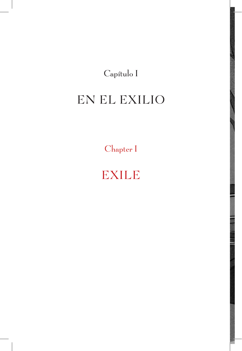Capítulo I

## EN EL EXILIO

Chapter I

EXILE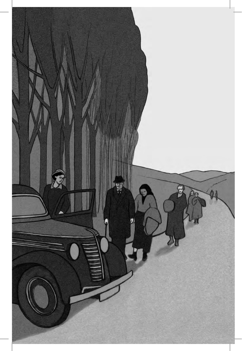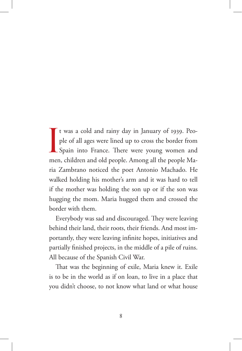I t was a cold and rainy day in January of 1939. People of all ages were lined up to cross the border from Spain into France. There were young women and men, children and old people. Among all the people Maria Zambrano noticed the poet Antonio Machado. He walked holding his mother's arm and it was hard to tell if the mother was holding the son up or if the son was hugging the mom. Maria hugged them and crossed the border with them.

Everybody was sad and discouraged. They were leaving behind their land, their roots, their friends. And most importantly, they were leaving infinite hopes, initiatives and partially finished projects, in the middle of a pile of ruins. All because of the Spanish Civil War.

That was the beginning of exile, Maria knew it. Exile is to be in the world as if on loan, to live in a place that you didn't choose, to not know what land or what house